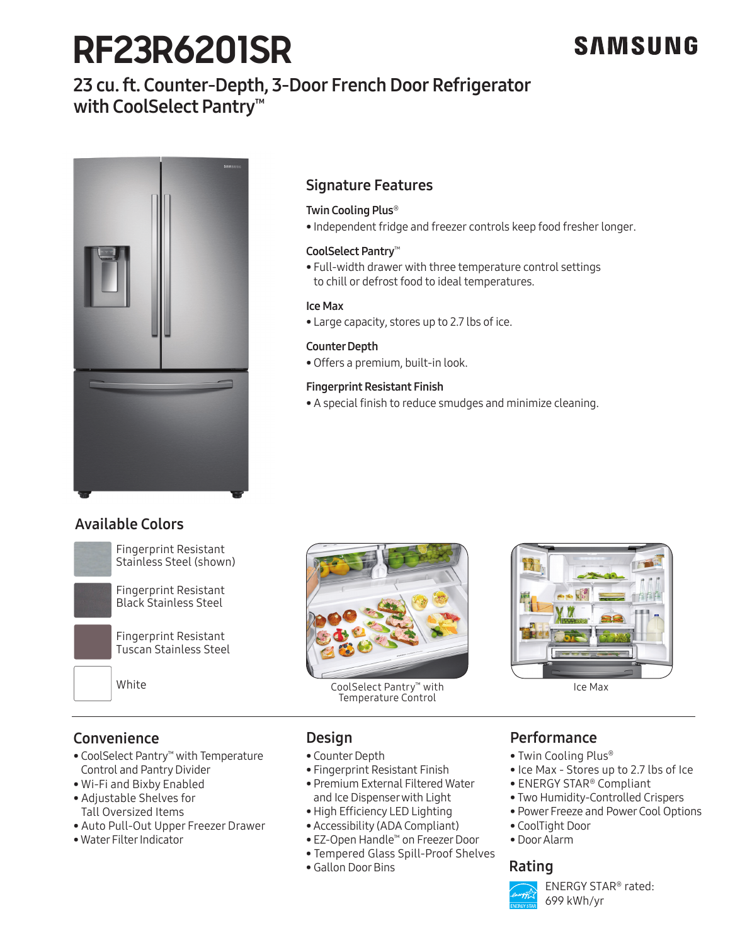# **RF23R6201SR**

# SAMSUNG

# 23 cu. ft. Counter-Depth, 3-Door French Door Refrigerator with CoolSelect Pantry™



# Signature Features

### Twin Cooling Plus®

• Independent fridge and freezer controls keep food fresher longer.

### CoolSelect Pantry™

• Full-width drawer with three temperature control settings to chill or defrost food to ideal temperatures.

### Ice Max

• Large capacity, stores up to 2.7 lbs of ice.

### Counter Depth

• Offers a premium, built-in look.

### Fingerprint Resistant Finish

• A special finish to reduce smudges and minimize cleaning.

# Available Colors



Fingerprint Resistant<br>Stainless Steel (shown) Stainless Steel (shown)



Fingerprint Resistant





Temperature Control station of the contract of the contract of the contract of the contract of the contract of the contract of the contract of the contract of the contract of the contract of the contract of the contract of the contract of the



# **Convenience**

- CoolSelect Pantry™ with Temperature Stainless Platinum Control and Pantry Divider
- Wi-Fi and Bixby Enabled
- Adjustable Shelves for Tall Oversized Items • Aujustable Shelves for<br>Tall Oversized Items<br>• Auto Pull-Out Upper Freezer Drawer
- 
- Water Filter Indicator  $B = \frac{1}{2}$

# Design

- Counter Depth
- Fingerprint Resistant Finish
- Premium External Filtered Water
- and Ice Dispenser with Light • High Efficiency LED Lighting
- Accessibility (ADA Compliant)
- EZ-Open Handle™ on Freezer Door
- Tempered Glass Spill-Proof Shelves
- Gallon Door Bins

# Performance

- Twin Cooling Plus®
- Ice Max Stores up to 2.7 lbs of Ice
- ENERGY STAR® Compliant
- Two Humidity-Controlled Crispers
- Power Freeze and Power Cool Options
- CoolTight Door
- Door Alarm

## Rating



ENERGY STAR® rated: 699 kWh/yr